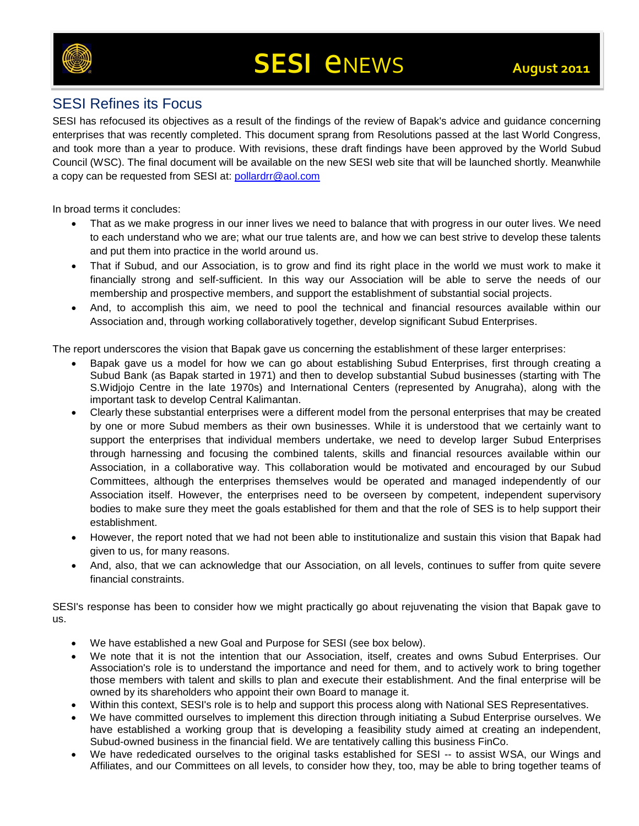

### SESI Refines its Focus

SESI has refocused its objectives as a result of the findings of the review of Bapak's advice and guidance concerning enterprises that was recently completed. This document sprang from Resolutions passed at the last World Congress, and took more than a year to produce. With revisions, these draft findings have been approved by the World Subud Council (WSC). The final document will be available on the new SESI web site that will be launched shortly. Meanwhile a copy can be requested from SESI at: [pollardrr@aol.com](mailto:pollardrr@aol.com)

In broad terms it concludes:

- That as we make progress in our inner lives we need to balance that with progress in our outer lives. We need to each understand who we are; what our true talents are, and how we can best strive to develop these talents and put them into practice in the world around us.
- That if Subud, and our Association, is to grow and find its right place in the world we must work to make it financially strong and self-sufficient. In this way our Association will be able to serve the needs of our membership and prospective members, and support the establishment of substantial social projects.
- And, to accomplish this aim, we need to pool the technical and financial resources available within our Association and, through working collaboratively together, develop significant Subud Enterprises.

The report underscores the vision that Bapak gave us concerning the establishment of these larger enterprises:

- Bapak gave us a model for how we can go about establishing Subud Enterprises, first through creating a Subud Bank (as Bapak started in 1971) and then to develop substantial Subud businesses (starting with The S.Widjojo Centre in the late 1970s) and International Centers (represented by Anugraha), along with the important task to develop Central Kalimantan.
- Clearly these substantial enterprises were a different model from the personal enterprises that may be created by one or more Subud members as their own businesses. While it is understood that we certainly want to support the enterprises that individual members undertake, we need to develop larger Subud Enterprises through harnessing and focusing the combined talents, skills and financial resources available within our Association, in a collaborative way. This collaboration would be motivated and encouraged by our Subud Committees, although the enterprises themselves would be operated and managed independently of our Association itself. However, the enterprises need to be overseen by competent, independent supervisory bodies to make sure they meet the goals established for them and that the role of SES is to help support their establishment.
- However, the report noted that we had not been able to institutionalize and sustain this vision that Bapak had given to us, for many reasons.
- And, also, that we can acknowledge that our Association, on all levels, continues to suffer from quite severe financial constraints.

SESI's response has been to consider how we might practically go about rejuvenating the vision that Bapak gave to us.

- We have established a new Goal and Purpose for SESI (see box below).
- We note that it is not the intention that our Association, itself, creates and owns Subud Enterprises. Our Association's role is to understand the importance and need for them, and to actively work to bring together those members with talent and skills to plan and execute their establishment. And the final enterprise will be owned by its shareholders who appoint their own Board to manage it.
- Within this context, SESI's role is to help and support this process along with National SES Representatives.
- We have committed ourselves to implement this direction through initiating a Subud Enterprise ourselves. We have established a working group that is developing a feasibility study aimed at creating an independent, Subud-owned business in the financial field. We are tentatively calling this business FinCo.
- We have rededicated ourselves to the original tasks established for SESI -- to assist WSA, our Wings and Affiliates, and our Committees on all levels, to consider how they, too, may be able to bring together teams of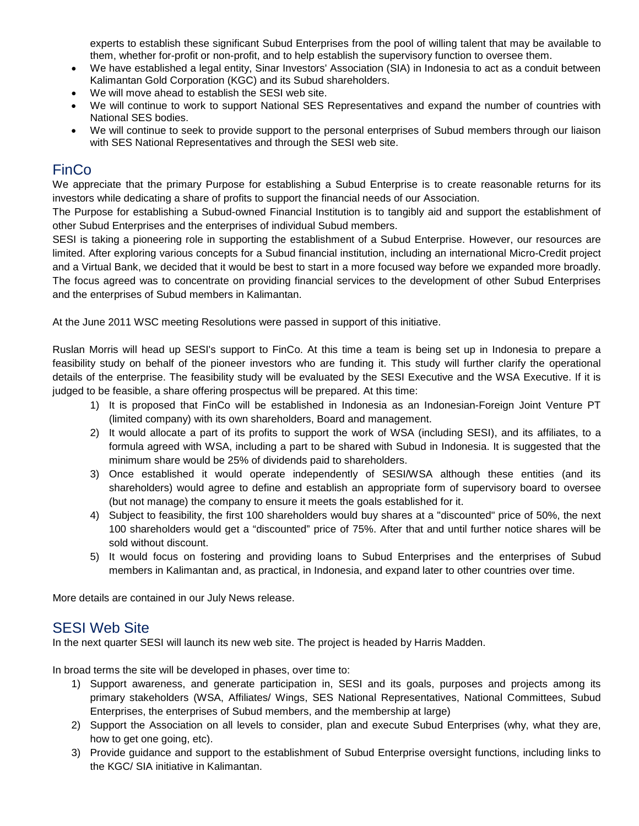experts to establish these significant Subud Enterprises from the pool of willing talent that may be available to them, whether for-profit or non-profit, and to help establish the supervisory function to oversee them.

- We have established a legal entity, Sinar Investors' Association (SIA) in Indonesia to act as a conduit between Kalimantan Gold Corporation (KGC) and its Subud shareholders.
- We will move ahead to establish the SESI web site.
- We will continue to work to support National SES Representatives and expand the number of countries with National SES bodies.
- We will continue to seek to provide support to the personal enterprises of Subud members through our liaison with SES National Representatives and through the SESI web site.

## FinCo

We appreciate that the primary Purpose for establishing a Subud Enterprise is to create reasonable returns for its investors while dedicating a share of profits to support the financial needs of our Association.

The Purpose for establishing a Subud-owned Financial Institution is to tangibly aid and support the establishment of other Subud Enterprises and the enterprises of individual Subud members.

SESI is taking a pioneering role in supporting the establishment of a Subud Enterprise. However, our resources are limited. After exploring various concepts for a Subud financial institution, including an international Micro-Credit project and a Virtual Bank, we decided that it would be best to start in a more focused way before we expanded more broadly. The focus agreed was to concentrate on providing financial services to the development of other Subud Enterprises and the enterprises of Subud members in Kalimantan.

At the June 2011 WSC meeting Resolutions were passed in support of this initiative.

Ruslan Morris will head up SESI's support to FinCo. At this time a team is being set up in Indonesia to prepare a feasibility study on behalf of the pioneer investors who are funding it. This study will further clarify the operational details of the enterprise. The feasibility study will be evaluated by the SESI Executive and the WSA Executive. If it is judged to be feasible, a share offering prospectus will be prepared. At this time:

- 1) It is proposed that FinCo will be established in Indonesia as an Indonesian-Foreign Joint Venture PT (limited company) with its own shareholders, Board and management.
- 2) It would allocate a part of its profits to support the work of WSA (including SESI), and its affiliates, to a formula agreed with WSA, including a part to be shared with Subud in Indonesia. It is suggested that the minimum share would be 25% of dividends paid to shareholders.
- 3) Once established it would operate independently of SESI/WSA although these entities (and its shareholders) would agree to define and establish an appropriate form of supervisory board to oversee (but not manage) the company to ensure it meets the goals established for it.
- 4) Subject to feasibility, the first 100 shareholders would buy shares at a "discounted" price of 50%, the next 100 shareholders would get a "discounted" price of 75%. After that and until further notice shares will be sold without discount.
- 5) It would focus on fostering and providing loans to Subud Enterprises and the enterprises of Subud members in Kalimantan and, as practical, in Indonesia, and expand later to other countries over time.

More details are contained in our July News release.

#### SESI Web Site

In the next quarter SESI will launch its new web site. The project is headed by Harris Madden.

In broad terms the site will be developed in phases, over time to:

- 1) Support awareness, and generate participation in, SESI and its goals, purposes and projects among its primary stakeholders (WSA, Affiliates/ Wings, SES National Representatives, National Committees, Subud Enterprises, the enterprises of Subud members, and the membership at large)
- 2) Support the Association on all levels to consider, plan and execute Subud Enterprises (why, what they are, how to get one going, etc).
- 3) Provide guidance and support to the establishment of Subud Enterprise oversight functions, including links to the KGC/ SIA initiative in Kalimantan.